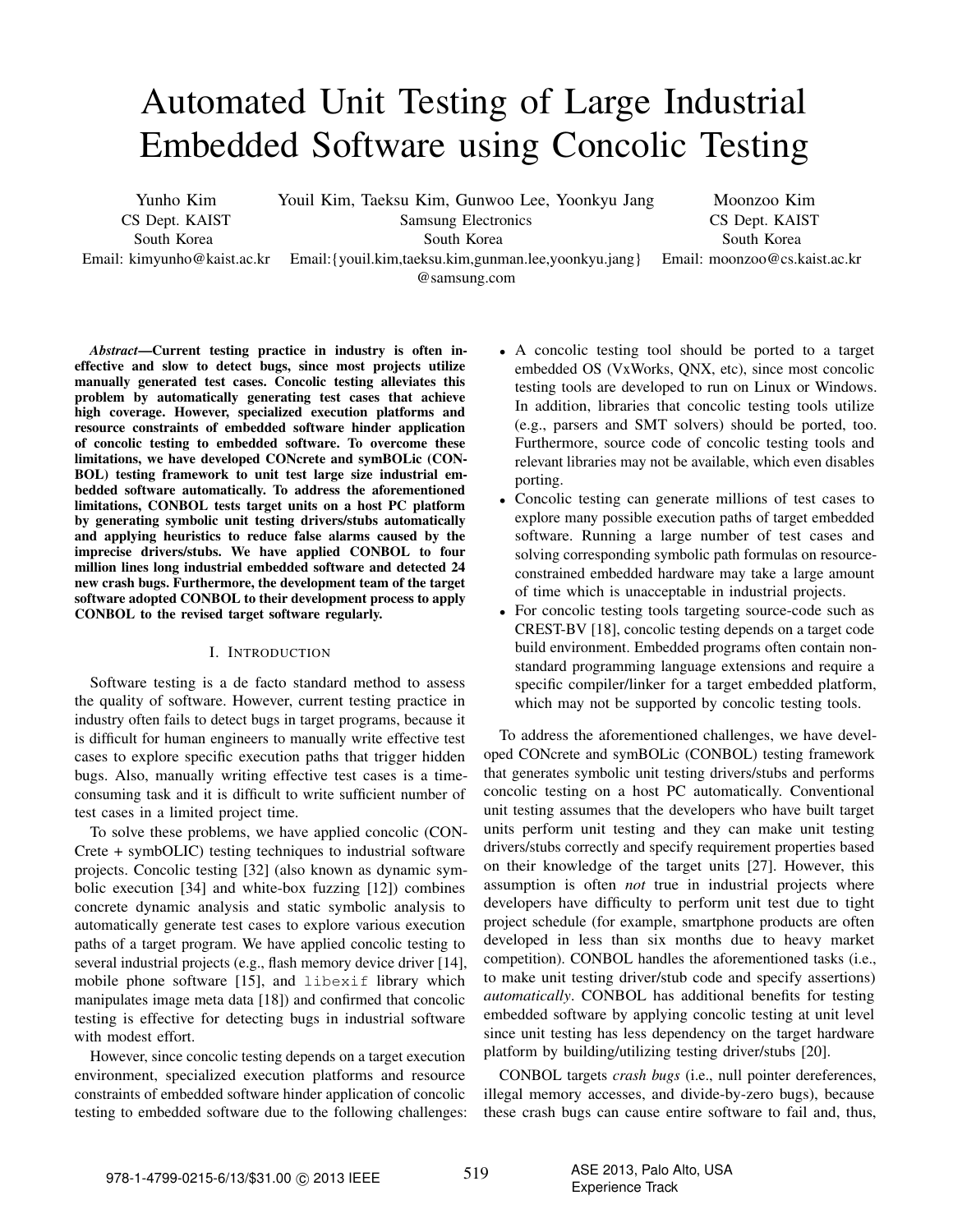# Automated Unit Testing of Large Industrial Embedded Software using Concolic Testing

Yunho Kim CS Dept. KAIST South Korea Email: kimyunho@kaist.ac.kr Email:{youil.kim,taeksu.kim,gunman.lee,yoonkyu.jang} Youil Kim, Taeksu Kim, Gunwoo Lee, Yoonkyu Jang Samsung Electronics South Korea

Moonzoo Kim CS Dept. KAIST South Korea Email: moonzoo@cs.kaist.ac.kr

@samsung.com

*Abstract*—Current testing practice in industry is often ineffective and slow to detect bugs, since most projects utilize manually generated test cases. Concolic testing alleviates this problem by automatically generating test cases that achieve high coverage. However, specialized execution platforms and resource constraints of embedded software hinder application of concolic testing to embedded software. To overcome these limitations, we have developed CONcrete and symBOLic (CON-BOL) testing framework to unit test large size industrial embedded software automatically. To address the aforementioned limitations, CONBOL tests target units on a host PC platform by generating symbolic unit testing drivers/stubs automatically and applying heuristics to reduce false alarms caused by the imprecise drivers/stubs. We have applied CONBOL to four million lines long industrial embedded software and detected 24 new crash bugs. Furthermore, the development team of the target software adopted CONBOL to their development process to apply CONBOL to the revised target software regularly.

#### I. INTRODUCTION

Software testing is a de facto standard method to assess the quality of software. However, current testing practice in industry often fails to detect bugs in target programs, because it is difficult for human engineers to manually write effective test cases to explore specific execution paths that trigger hidden bugs. Also, manually writing effective test cases is a timeconsuming task and it is difficult to write sufficient number of test cases in a limited project time.

To solve these problems, we have applied concolic (CON-Crete + symbOLIC) testing techniques to industrial software projects. Concolic testing [32] (also known as dynamic symbolic execution [34] and white-box fuzzing [12]) combines concrete dynamic analysis and static symbolic analysis to automatically generate test cases to explore various execution paths of a target program. We have applied concolic testing to several industrial projects (e.g., flash memory device driver [14], mobile phone software [15], and libexif library which manipulates image meta data [18]) and confirmed that concolic testing is effective for detecting bugs in industrial software with modest effort.

However, since concolic testing depends on a target execution environment, specialized execution platforms and resource constraints of embedded software hinder application of concolic testing to embedded software due to the following challenges:

- A concolic testing tool should be ported to a target embedded OS (VxWorks, QNX, etc), since most concolic testing tools are developed to run on Linux or Windows. In addition, libraries that concolic testing tools utilize (e.g., parsers and SMT solvers) should be ported, too. Furthermore, source code of concolic testing tools and relevant libraries may not be available, which even disables porting.
- Concolic testing can generate millions of test cases to explore many possible execution paths of target embedded software. Running a large number of test cases and solving corresponding symbolic path formulas on resourceconstrained embedded hardware may take a large amount of time which is unacceptable in industrial projects.
- For concolic testing tools targeting source-code such as CREST-BV [18], concolic testing depends on a target code build environment. Embedded programs often contain nonstandard programming language extensions and require a specific compiler/linker for a target embedded platform, which may not be supported by concolic testing tools.

To address the aforementioned challenges, we have developed CONcrete and symBOLic (CONBOL) testing framework that generates symbolic unit testing drivers/stubs and performs concolic testing on a host PC automatically. Conventional unit testing assumes that the developers who have built target units perform unit testing and they can make unit testing drivers/stubs correctly and specify requirement properties based on their knowledge of the target units [27]. However, this assumption is often *not* true in industrial projects where developers have difficulty to perform unit test due to tight project schedule (for example, smartphone products are often developed in less than six months due to heavy market competition). CONBOL handles the aforementioned tasks (i.e., to make unit testing driver/stub code and specify assertions) *automatically*. CONBOL has additional benefits for testing embedded software by applying concolic testing at unit level since unit testing has less dependency on the target hardware platform by building/utilizing testing driver/stubs [20].

CONBOL targets *crash bugs* (i.e., null pointer dereferences, illegal memory accesses, and divide-by-zero bugs), because these crash bugs can cause entire software to fail and, thus,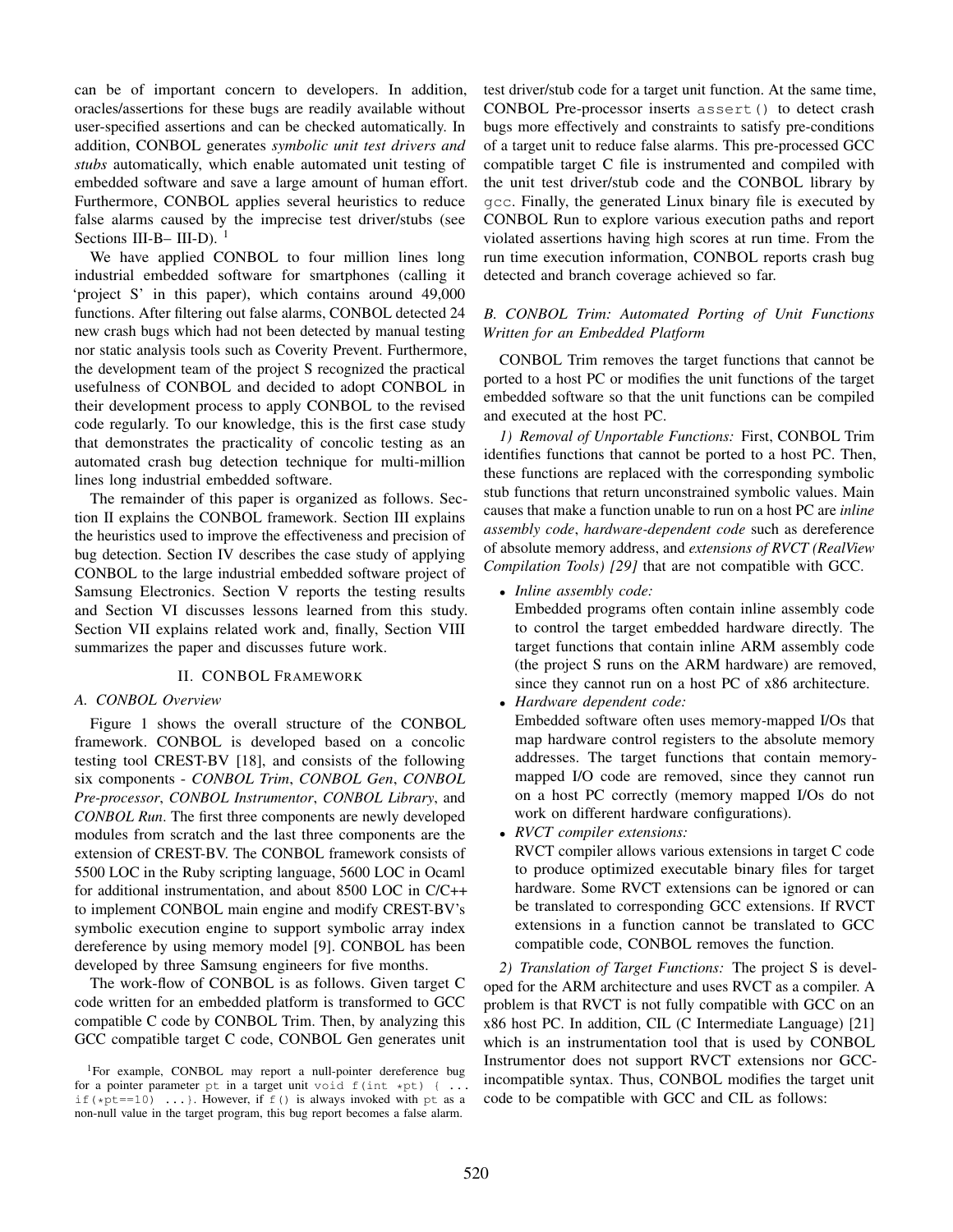can be of important concern to developers. In addition, oracles/assertions for these bugs are readily available without user-specified assertions and can be checked automatically. In addition, CONBOL generates *symbolic unit test drivers and stubs* automatically, which enable automated unit testing of embedded software and save a large amount of human effort. Furthermore, CONBOL applies several heuristics to reduce false alarms caused by the imprecise test driver/stubs (see Sections III-B- III-D).<sup>1</sup>

We have applied CONBOL to four million lines long industrial embedded software for smartphones (calling it 'project S' in this paper), which contains around 49,000 functions. After filtering out false alarms, CONBOL detected 24 new crash bugs which had not been detected by manual testing nor static analysis tools such as Coverity Prevent. Furthermore, the development team of the project S recognized the practical usefulness of CONBOL and decided to adopt CONBOL in their development process to apply CONBOL to the revised code regularly. To our knowledge, this is the first case study that demonstrates the practicality of concolic testing as an automated crash bug detection technique for multi-million lines long industrial embedded software.

The remainder of this paper is organized as follows. Section II explains the CONBOL framework. Section III explains the heuristics used to improve the effectiveness and precision of bug detection. Section IV describes the case study of applying CONBOL to the large industrial embedded software project of Samsung Electronics. Section V reports the testing results and Section VI discusses lessons learned from this study. Section VII explains related work and, finally, Section VIII summarizes the paper and discusses future work.

#### II. CONBOL FRAMEWORK

## *A. CONBOL Overview*

Figure 1 shows the overall structure of the CONBOL framework. CONBOL is developed based on a concolic testing tool CREST-BV [18], and consists of the following six components - *CONBOL Trim*, *CONBOL Gen*, *CONBOL Pre-processor*, *CONBOL Instrumentor*, *CONBOL Library*, and *CONBOL Run*. The first three components are newly developed modules from scratch and the last three components are the extension of CREST-BV. The CONBOL framework consists of 5500 LOC in the Ruby scripting language, 5600 LOC in Ocaml for additional instrumentation, and about 8500 LOC in C/C++ to implement CONBOL main engine and modify CREST-BV's symbolic execution engine to support symbolic array index dereference by using memory model [9]. CONBOL has been developed by three Samsung engineers for five months.

The work-flow of CONBOL is as follows. Given target C code written for an embedded platform is transformed to GCC compatible C code by CONBOL Trim. Then, by analyzing this GCC compatible target C code, CONBOL Gen generates unit test driver/stub code for a target unit function. At the same time, CONBOL Pre-processor inserts assert() to detect crash bugs more effectively and constraints to satisfy pre-conditions of a target unit to reduce false alarms. This pre-processed GCC compatible target C file is instrumented and compiled with the unit test driver/stub code and the CONBOL library by gcc. Finally, the generated Linux binary file is executed by CONBOL Run to explore various execution paths and report violated assertions having high scores at run time. From the run time execution information, CONBOL reports crash bug detected and branch coverage achieved so far.

# *B. CONBOL Trim: Automated Porting of Unit Functions Written for an Embedded Platform*

CONBOL Trim removes the target functions that cannot be ported to a host PC or modifies the unit functions of the target embedded software so that the unit functions can be compiled and executed at the host PC.

*1) Removal of Unportable Functions:* First, CONBOL Trim identifies functions that cannot be ported to a host PC. Then, these functions are replaced with the corresponding symbolic stub functions that return unconstrained symbolic values. Main causes that make a function unable to run on a host PC are *inline assembly code*, *hardware-dependent code* such as dereference of absolute memory address, and *extensions of RVCT (RealView Compilation Tools) [29]* that are not compatible with GCC.

• *Inline assembly code:*

Embedded programs often contain inline assembly code to control the target embedded hardware directly. The target functions that contain inline ARM assembly code (the project S runs on the ARM hardware) are removed, since they cannot run on a host PC of x86 architecture.

• *Hardware dependent code:*

Embedded software often uses memory-mapped I/Os that map hardware control registers to the absolute memory addresses. The target functions that contain memorymapped I/O code are removed, since they cannot run on a host PC correctly (memory mapped I/Os do not work on different hardware configurations).

• *RVCT compiler extensions:*

RVCT compiler allows various extensions in target C code to produce optimized executable binary files for target hardware. Some RVCT extensions can be ignored or can be translated to corresponding GCC extensions. If RVCT extensions in a function cannot be translated to GCC compatible code, CONBOL removes the function.

*2) Translation of Target Functions:* The project S is developed for the ARM architecture and uses RVCT as a compiler. A problem is that RVCT is not fully compatible with GCC on an x86 host PC. In addition, CIL (C Intermediate Language) [21] which is an instrumentation tool that is used by CONBOL Instrumentor does not support RVCT extensions nor GCCincompatible syntax. Thus, CONBOL modifies the target unit code to be compatible with GCC and CIL as follows:

<sup>&</sup>lt;sup>1</sup>For example, CONBOL may report a null-pointer dereference bug for a pointer parameter pt in a target unit void  $f(int * pt)$  { ... if  $(*pt==10) ...$ . However, if  $f()$  is always invoked with pt as a non-null value in the target program, this bug report becomes a false alarm.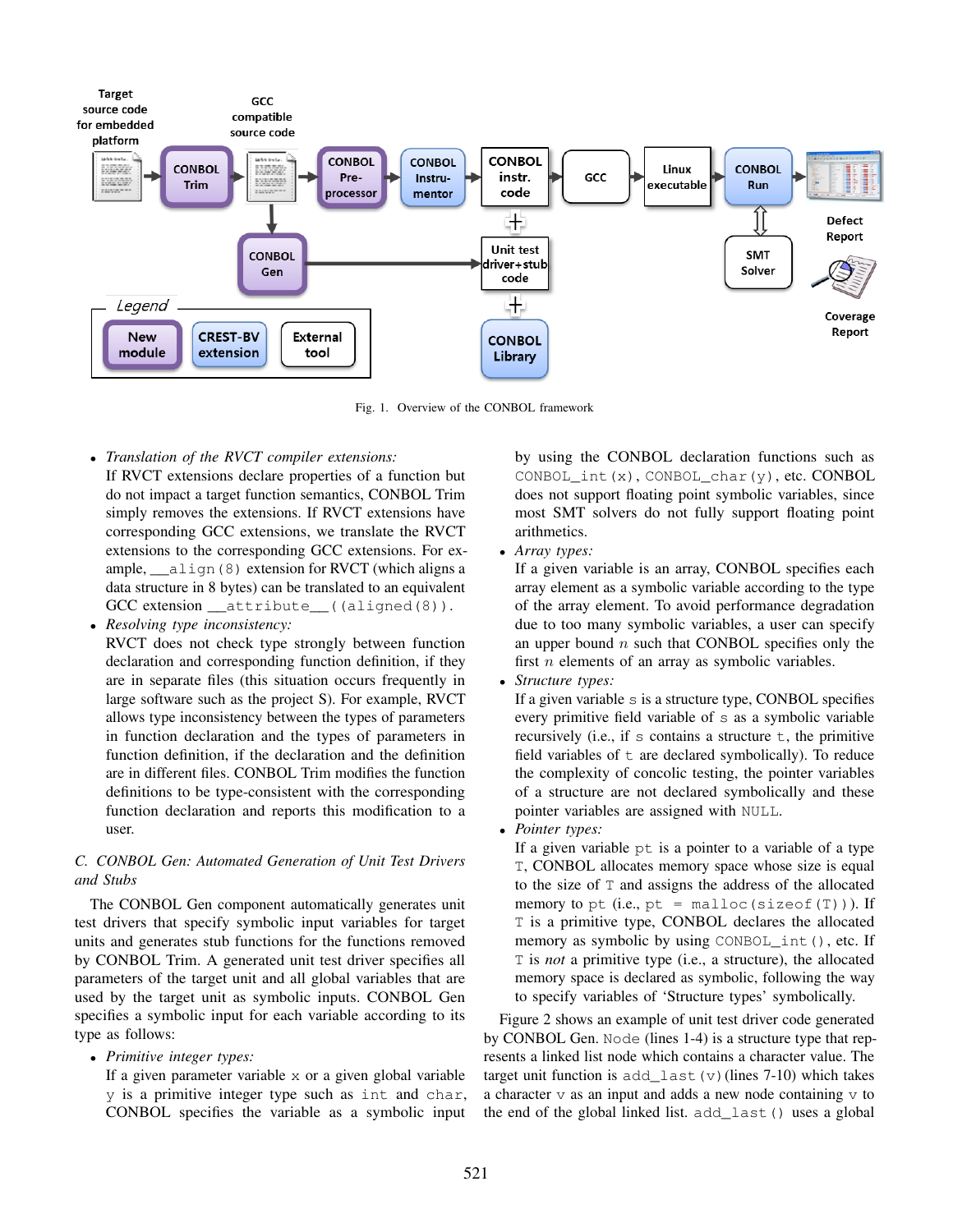

Fig. 1. Overview of the CONBOL framework

- *Translation of the RVCT compiler extensions:*
- If RVCT extensions declare properties of a function but do not impact a target function semantics, CONBOL Trim simply removes the extensions. If RVCT extensions have corresponding GCC extensions, we translate the RVCT extensions to the corresponding GCC extensions. For example, align(8) extension for RVCT (which aligns a data structure in 8 bytes) can be translated to an equivalent GCC extension \_\_\_attribute\_((aligned(8)).
- *Resolving type inconsistency:*

RVCT does not check type strongly between function declaration and corresponding function definition, if they are in separate files (this situation occurs frequently in large software such as the project S). For example, RVCT allows type inconsistency between the types of parameters in function declaration and the types of parameters in function definition, if the declaration and the definition are in different files. CONBOL Trim modifies the function definitions to be type-consistent with the corresponding function declaration and reports this modification to a user.

# *C. CONBOL Gen: Automated Generation of Unit Test Drivers and Stubs*

The CONBOL Gen component automatically generates unit test drivers that specify symbolic input variables for target units and generates stub functions for the functions removed by CONBOL Trim. A generated unit test driver specifies all parameters of the target unit and all global variables that are used by the target unit as symbolic inputs. CONBOL Gen specifies a symbolic input for each variable according to its type as follows:

• *Primitive integer types:*

If a given parameter variable  $x$  or a given global variable y is a primitive integer type such as int and char, CONBOL specifies the variable as a symbolic input by using the CONBOL declaration functions such as CONBOL int $(x)$ , CONBOL char $(y)$ , etc. CONBOL does not support floating point symbolic variables, since most SMT solvers do not fully support floating point arithmetics.

• *Array types:*

If a given variable is an array, CONBOL specifies each array element as a symbolic variable according to the type of the array element. To avoid performance degradation due to too many symbolic variables, a user can specify an upper bound  $n$  such that CONBOL specifies only the first *n* elements of an array as symbolic variables.

• *Structure types:*

If a given variable  $s$  is a structure type, CONBOL specifies every primitive field variable of s as a symbolic variable recursively (i.e., if  $s$  contains a structure  $t$ , the primitive field variables of  $t$  are declared symbolically). To reduce the complexity of concolic testing, the pointer variables of a structure are not declared symbolically and these pointer variables are assigned with NULL.

• *Pointer types:*

If a given variable pt is a pointer to a variable of a type T, CONBOL allocates memory space whose size is equal to the size of T and assigns the address of the allocated memory to pt (i.e.,  $pt =$  malloc(sizeof(T))). If T is a primitive type, CONBOL declares the allocated memory as symbolic by using CONBOL\_int(), etc. If T is *not* a primitive type (i.e., a structure), the allocated memory space is declared as symbolic, following the way to specify variables of 'Structure types' symbolically.

Figure 2 shows an example of unit test driver code generated by CONBOL Gen. Node (lines 1-4) is a structure type that represents a linked list node which contains a character value. The target unit function is add  $last(v)$  (lines 7-10) which takes a character  $\vee$  as an input and adds a new node containing  $\vee$  to the end of the global linked list. add\_last() uses a global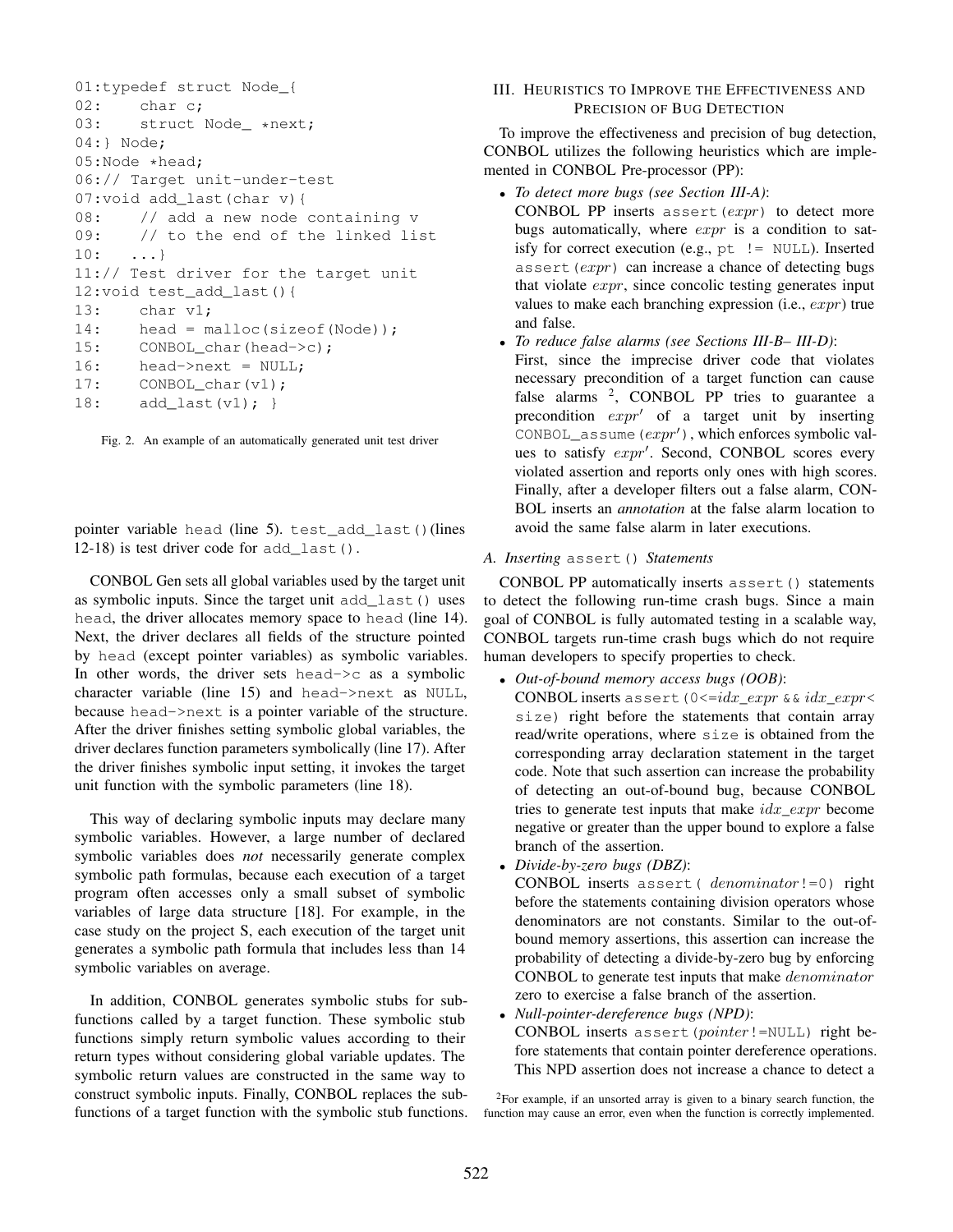```
01:typedef struct Node_{
02: char c;
03: struct Node_ *next;
04:} Node;
05:Node *head;
06:// Target unit-under-test
07:void add_last(char v){
08: // add a new node containing v
09: // to the end of the linked list
10: ...}
11:// Test driver for the target unit
12:void test_add_last(){
13: char v1;
14: head = malloc(sizeof(Node));
15: CONBOL_char(head->c);
16: head->next = NULL;
17: CONBOL_char(v1);
18: add_last(v1); }
```
Fig. 2. An example of an automatically generated unit test driver

pointer variable head (line 5). test\_add\_last()(lines 12-18) is test driver code for add\_last().

CONBOL Gen sets all global variables used by the target unit as symbolic inputs. Since the target unit add\_last() uses head, the driver allocates memory space to head (line 14). Next, the driver declares all fields of the structure pointed by head (except pointer variables) as symbolic variables. In other words, the driver sets head- $\geq c$  as a symbolic character variable (line 15) and head->next as NULL, because head->next is a pointer variable of the structure. After the driver finishes setting symbolic global variables, the driver declares function parameters symbolically (line 17). After the driver finishes symbolic input setting, it invokes the target unit function with the symbolic parameters (line 18).

This way of declaring symbolic inputs may declare many symbolic variables. However, a large number of declared symbolic variables does *not* necessarily generate complex symbolic path formulas, because each execution of a target program often accesses only a small subset of symbolic variables of large data structure [18]. For example, in the case study on the project S, each execution of the target unit generates a symbolic path formula that includes less than 14 symbolic variables on average.

In addition, CONBOL generates symbolic stubs for subfunctions called by a target function. These symbolic stub functions simply return symbolic values according to their return types without considering global variable updates. The symbolic return values are constructed in the same way to construct symbolic inputs. Finally, CONBOL replaces the subfunctions of a target function with the symbolic stub functions.

# III. HEURISTICS TO IMPROVE THE EFFECTIVENESS AND PRECISION OF BUG DETECTION

To improve the effectiveness and precision of bug detection, CONBOL utilizes the following heuristics which are implemented in CONBOL Pre-processor (PP):

• *To detect more bugs (see Section III-A)*:

CONBOL PP inserts assert  $(expr)$  to detect more bugs automatically, where  $expr$  is a condition to satisfy for correct execution (e.g.,  $pt$  ! = NULL). Inserted assert ( $expr$ ) can increase a chance of detecting bugs that violate  $expr$ , since concolic testing generates input values to make each branching expression (i.e., expr) true and false.

- *To reduce false alarms (see Sections III-B– III-D)*:
- First, since the imprecise driver code that violates necessary precondition of a target function can cause false alarms  $2$ , CONBOL PP tries to guarantee a precondition  $expr'$  of a target unit by inserting CONBOL\_assume  $(expr')$ , which enforces symbolic values to satisfy  $expr'$ . Second, CONBOL scores every violated assertion and reports only ones with high scores. Finally, after a developer filters out a false alarm, CON-BOL inserts an *annotation* at the false alarm location to avoid the same false alarm in later executions.

## *A. Inserting* assert() *Statements*

CONBOL PP automatically inserts assert() statements to detect the following run-time crash bugs. Since a main goal of CONBOL is fully automated testing in a scalable way, CONBOL targets run-time crash bugs which do not require human developers to specify properties to check.

- *Out-of-bound memory access bugs (OOB)*: CONBOL inserts assert (0<=idx\_expr && idx\_expr< size) right before the statements that contain array read/write operations, where size is obtained from the corresponding array declaration statement in the target code. Note that such assertion can increase the probability of detecting an out-of-bound bug, because CONBOL tries to generate test inputs that make  $idx$  expr become negative or greater than the upper bound to explore a false branch of the assertion.
- *Divide-by-zero bugs (DBZ)*:

CONBOL inserts assert (  $denominator != 0$ ) right before the statements containing division operators whose denominators are not constants. Similar to the out-ofbound memory assertions, this assertion can increase the probability of detecting a divide-by-zero bug by enforcing CONBOL to generate test inputs that make denominator zero to exercise a false branch of the assertion.

• *Null-pointer-dereference bugs (NPD)*: CONBOL inserts assert (pointer!=NULL) right before statements that contain pointer dereference operations. This NPD assertion does not increase a chance to detect a

<sup>2</sup>For example, if an unsorted array is given to a binary search function, the function may cause an error, even when the function is correctly implemented.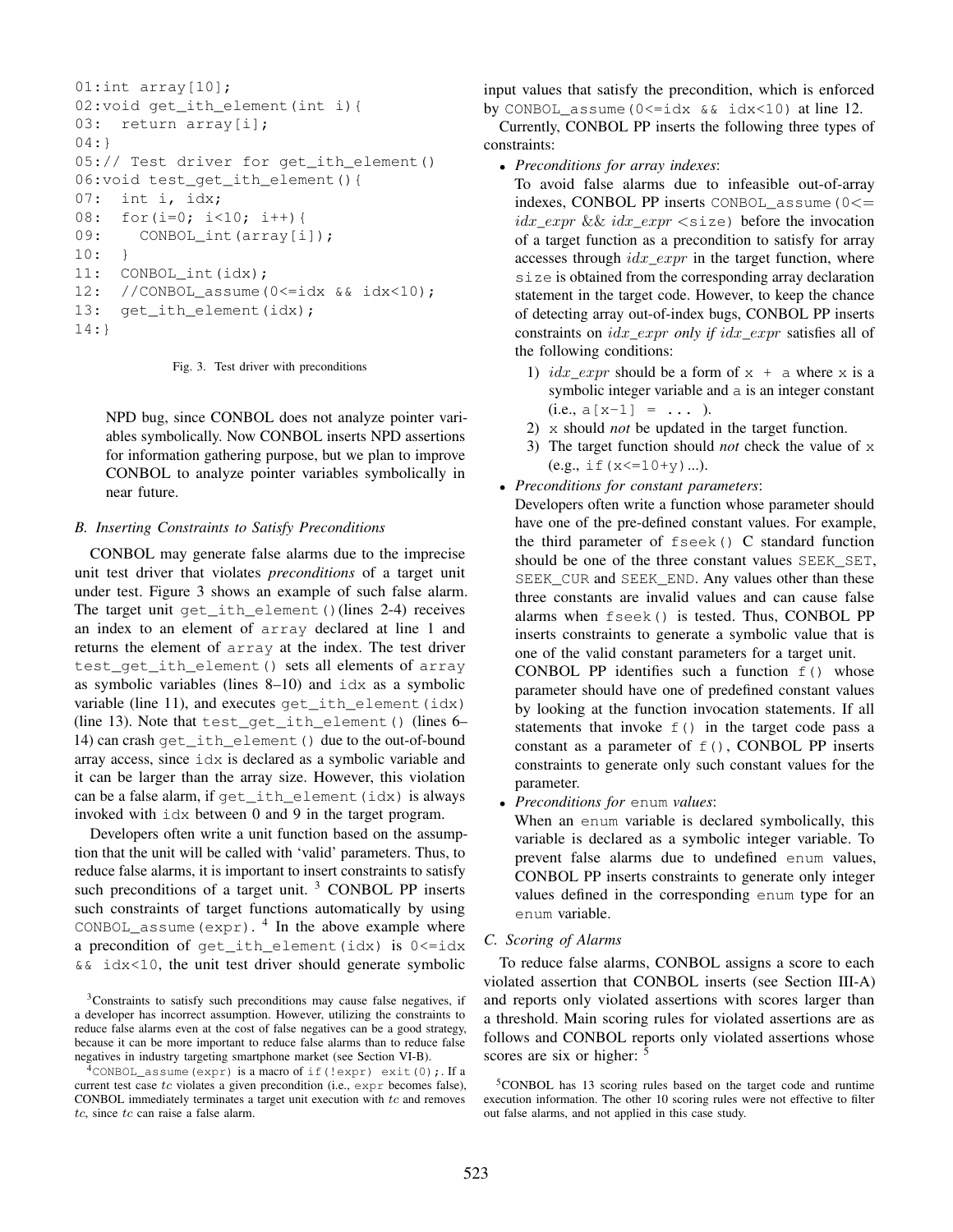```
01:int array[10];
02:void get_ith_element(int i){
03: return array[i];
04:}
05:// Test driver for get_ith_element()
06:void test_get_ith_element(){
07: int i, idx;
08: for(i=0; i<10; i++){
09: CONBOL_int(array[i]);
10: }
11: CONBOL_int(idx);
12: //CONBOL_assume(0<=idx && idx<10);
13: get_ith_element(idx);
14:}
```
Fig. 3. Test driver with preconditions

NPD bug, since CONBOL does not analyze pointer variables symbolically. Now CONBOL inserts NPD assertions for information gathering purpose, but we plan to improve CONBOL to analyze pointer variables symbolically in near future.

## *B. Inserting Constraints to Satisfy Preconditions*

CONBOL may generate false alarms due to the imprecise unit test driver that violates *preconditions* of a target unit under test. Figure 3 shows an example of such false alarm. The target unit get\_ith\_element()(lines 2-4) receives an index to an element of array declared at line 1 and returns the element of array at the index. The test driver test\_get\_ith\_element() sets all elements of array as symbolic variables (lines  $8-10$ ) and  $\pm dx$  as a symbolic variable (line 11), and executes get\_ith\_element(idx) (line 13). Note that test\_get\_ith\_element() (lines 6– 14) can crash get\_ith\_element() due to the out-of-bound array access, since idx is declared as a symbolic variable and it can be larger than the array size. However, this violation can be a false alarm, if get\_ith\_element(idx) is always invoked with idx between 0 and 9 in the target program.

Developers often write a unit function based on the assumption that the unit will be called with 'valid' parameters. Thus, to reduce false alarms, it is important to insert constraints to satisfy such preconditions of a target unit.<sup>3</sup> CONBOL PP inserts such constraints of target functions automatically by using CONBOL\_assume ( $expr$ ). <sup>4</sup> In the above example where a precondition of get\_ith\_element(idx) is 0<=idx && idx<10, the unit test driver should generate symbolic

input values that satisfy the precondition, which is enforced by CONBOL\_assume(0<=idx && idx<10) at line 12.

Currently, CONBOL PP inserts the following three types of constraints:

- *Preconditions for array indexes*:
	- To avoid false alarms due to infeasible out-of-array indexes, CONBOL PP inserts CONBOL\_assume (0<=  $idx\_expr$  &&  $idx\_expr$  <size) before the invocation of a target function as a precondition to satisfy for array accesses through  $idx$  expr in the target function, where size is obtained from the corresponding array declaration statement in the target code. However, to keep the chance of detecting array out-of-index bugs, CONBOL PP inserts constraints on idx\_expr *only if* idx\_expr satisfies all of the following conditions:
		- 1)  $idx\_expr$  should be a form of  $x + a$  where x is a symbolic integer variable and a is an integer constant  $(i.e., a [x-1] = ... ).$
		- 2) x should *not* be updated in the target function.
		- 3) The target function should *not* check the value of x (e.g., if  $(x \le 10+y)$ ...).
- *Preconditions for constant parameters*:

Developers often write a function whose parameter should have one of the pre-defined constant values. For example, the third parameter of fseek() C standard function should be one of the three constant values SEEK\_SET, SEEK CUR and SEEK END. Any values other than these three constants are invalid values and can cause false alarms when fseek() is tested. Thus, CONBOL PP inserts constraints to generate a symbolic value that is one of the valid constant parameters for a target unit.

CONBOL PP identifies such a function  $f()$  whose parameter should have one of predefined constant values by looking at the function invocation statements. If all statements that invoke f() in the target code pass a constant as a parameter of  $f(t)$ , CONBOL PP inserts constraints to generate only such constant values for the parameter.

• *Preconditions for* enum *values*:

When an enum variable is declared symbolically, this variable is declared as a symbolic integer variable. To prevent false alarms due to undefined enum values, CONBOL PP inserts constraints to generate only integer values defined in the corresponding enum type for an enum variable.

## *C. Scoring of Alarms*

To reduce false alarms, CONBOL assigns a score to each violated assertion that CONBOL inserts (see Section III-A) and reports only violated assertions with scores larger than a threshold. Main scoring rules for violated assertions are as follows and CONBOL reports only violated assertions whose scores are six or higher: <sup>5</sup>

<sup>3</sup>Constraints to satisfy such preconditions may cause false negatives, if a developer has incorrect assumption. However, utilizing the constraints to reduce false alarms even at the cost of false negatives can be a good strategy, because it can be more important to reduce false alarms than to reduce false negatives in industry targeting smartphone market (see Section VI-B).

 $^4$ CONBOL\_assume(expr) is a macro of if(!expr) exit(0);. If a current test case tc violates a given precondition (i.e., expr becomes false), CONBOL immediately terminates a target unit execution with  $tc$  and removes tc, since tc can raise a false alarm.

<sup>5</sup>CONBOL has 13 scoring rules based on the target code and runtime execution information. The other 10 scoring rules were not effective to filter out false alarms, and not applied in this case study.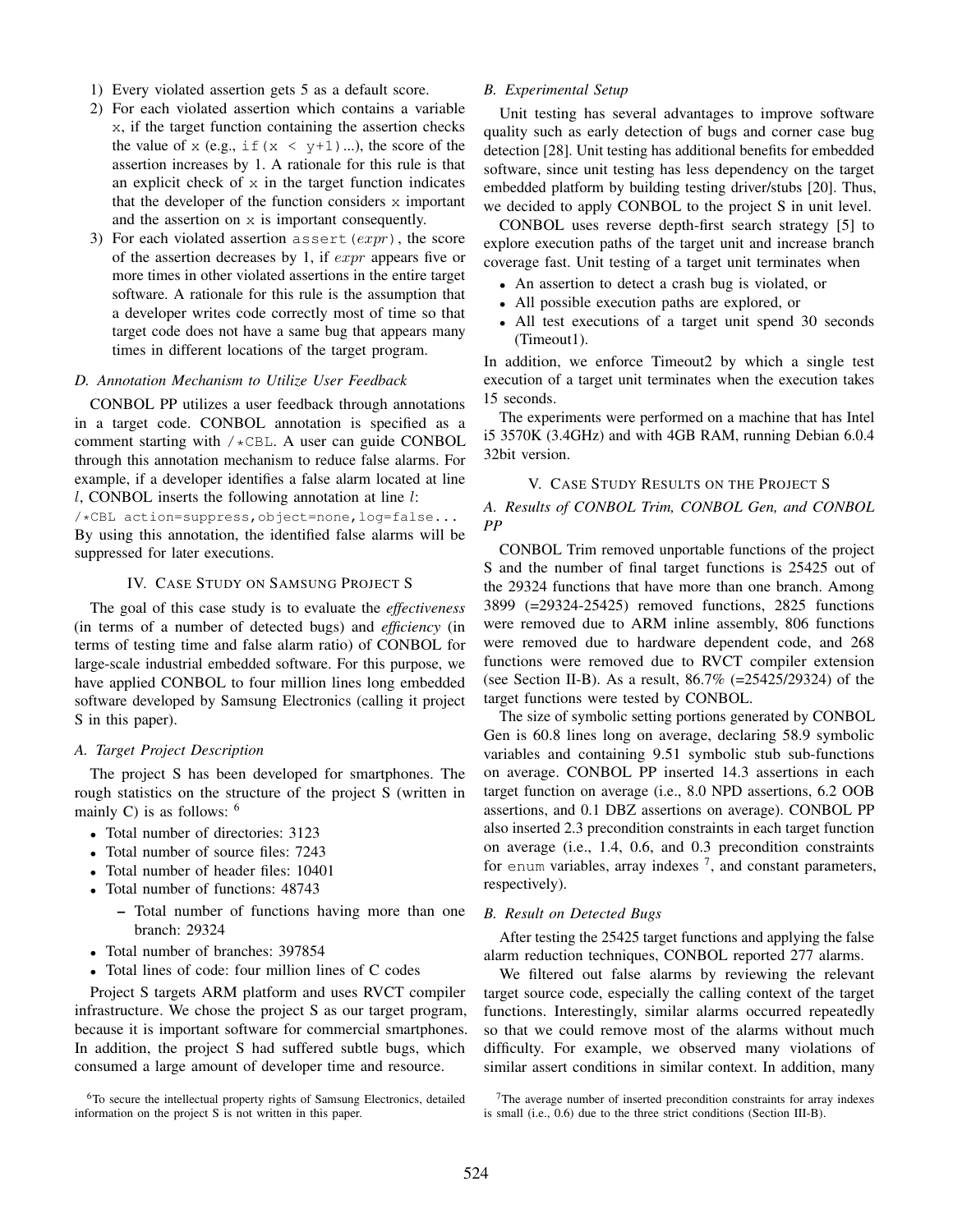- 1) Every violated assertion gets 5 as a default score.
- 2) For each violated assertion which contains a variable x, if the target function containing the assertion checks the value of x (e.g., if (x < y+1)...), the score of the assertion increases by 1. A rationale for this rule is that an explicit check of  $x$  in the target function indicates that the developer of the function considers x important and the assertion on  $x$  is important consequently.
- 3) For each violated assertion assert  $(exp)$ , the score of the assertion decreases by 1, if  $expr$  appears five or more times in other violated assertions in the entire target software. A rationale for this rule is the assumption that a developer writes code correctly most of time so that target code does not have a same bug that appears many times in different locations of the target program.

#### *D. Annotation Mechanism to Utilize User Feedback*

CONBOL PP utilizes a user feedback through annotations in a target code. CONBOL annotation is specified as a comment starting with /\*CBL. A user can guide CONBOL through this annotation mechanism to reduce false alarms. For example, if a developer identifies a false alarm located at line l, CONBOL inserts the following annotation at line  $l$ :

/\*CBL action=suppress,object=none,log=false... By using this annotation, the identified false alarms will be suppressed for later executions.

## IV. CASE STUDY ON SAMSUNG PROJECT S

The goal of this case study is to evaluate the *effectiveness* (in terms of a number of detected bugs) and *efficiency* (in terms of testing time and false alarm ratio) of CONBOL for large-scale industrial embedded software. For this purpose, we have applied CONBOL to four million lines long embedded software developed by Samsung Electronics (calling it project S in this paper).

#### *A. Target Project Description*

The project S has been developed for smartphones. The rough statistics on the structure of the project S (written in mainly C) is as follows: <sup>6</sup>

- Total number of directories: 3123
- Total number of source files: 7243
- Total number of header files: 10401
- Total number of functions: 48743
	- Total number of functions having more than one branch: 29324
- Total number of branches: 397854
- Total lines of code: four million lines of C codes

Project S targets ARM platform and uses RVCT compiler infrastructure. We chose the project S as our target program, because it is important software for commercial smartphones. In addition, the project S had suffered subtle bugs, which consumed a large amount of developer time and resource.

## *B. Experimental Setup*

Unit testing has several advantages to improve software quality such as early detection of bugs and corner case bug detection [28]. Unit testing has additional benefits for embedded software, since unit testing has less dependency on the target embedded platform by building testing driver/stubs [20]. Thus, we decided to apply CONBOL to the project S in unit level.

CONBOL uses reverse depth-first search strategy [5] to explore execution paths of the target unit and increase branch coverage fast. Unit testing of a target unit terminates when

- An assertion to detect a crash bug is violated, or
- All possible execution paths are explored, or
- All test executions of a target unit spend 30 seconds (Timeout1).

In addition, we enforce Timeout2 by which a single test execution of a target unit terminates when the execution takes 15 seconds.

The experiments were performed on a machine that has Intel i5 3570K (3.4GHz) and with 4GB RAM, running Debian 6.0.4 32bit version.

#### V. CASE STUDY RESULTS ON THE PROJECT S

# *A. Results of CONBOL Trim, CONBOL Gen, and CONBOL PP*

CONBOL Trim removed unportable functions of the project S and the number of final target functions is 25425 out of the 29324 functions that have more than one branch. Among 3899 (=29324-25425) removed functions, 2825 functions were removed due to ARM inline assembly, 806 functions were removed due to hardware dependent code, and 268 functions were removed due to RVCT compiler extension (see Section II-B). As a result, 86.7% (=25425/29324) of the target functions were tested by CONBOL.

The size of symbolic setting portions generated by CONBOL Gen is 60.8 lines long on average, declaring 58.9 symbolic variables and containing 9.51 symbolic stub sub-functions on average. CONBOL PP inserted 14.3 assertions in each target function on average (i.e., 8.0 NPD assertions, 6.2 OOB assertions, and 0.1 DBZ assertions on average). CONBOL PP also inserted 2.3 precondition constraints in each target function on average (i.e., 1.4, 0.6, and 0.3 precondition constraints for enum variables, array indexes  $<sup>7</sup>$ , and constant parameters,</sup> respectively).

## *B. Result on Detected Bugs*

After testing the 25425 target functions and applying the false alarm reduction techniques, CONBOL reported 277 alarms.

We filtered out false alarms by reviewing the relevant target source code, especially the calling context of the target functions. Interestingly, similar alarms occurred repeatedly so that we could remove most of the alarms without much difficulty. For example, we observed many violations of similar assert conditions in similar context. In addition, many

<sup>6</sup>To secure the intellectual property rights of Samsung Electronics, detailed information on the project S is not written in this paper.

<sup>7</sup>The average number of inserted precondition constraints for array indexes is small (i.e., 0.6) due to the three strict conditions (Section III-B).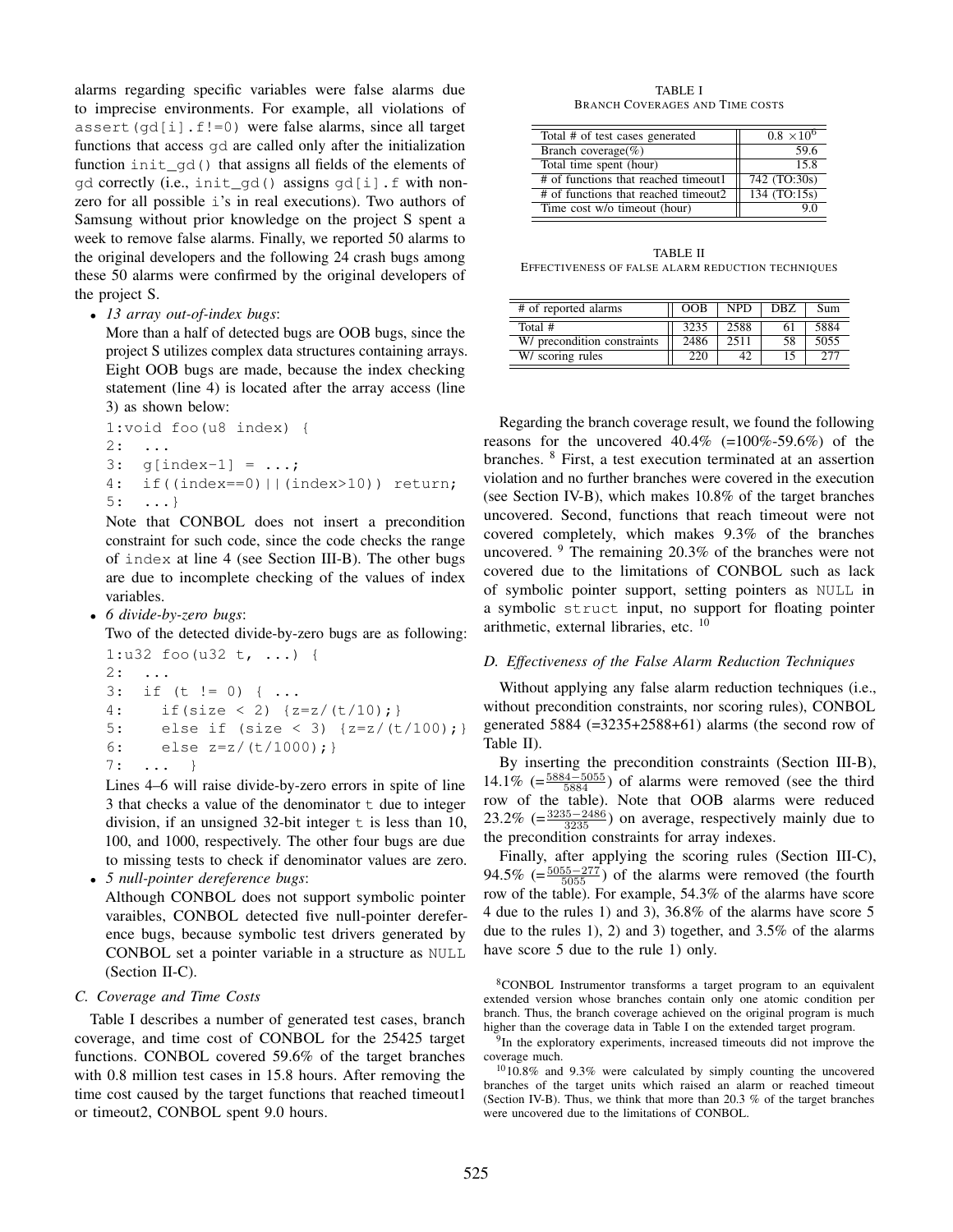alarms regarding specific variables were false alarms due to imprecise environments. For example, all violations of assert (gd[i].f!=0) were false alarms, since all target functions that access gd are called only after the initialization function init qd() that assigns all fields of the elements of gd correctly (i.e., init\_gd() assigns gd[i].f with nonzero for all possible i's in real executions). Two authors of Samsung without prior knowledge on the project S spent a week to remove false alarms. Finally, we reported 50 alarms to the original developers and the following 24 crash bugs among these 50 alarms were confirmed by the original developers of the project S.

• *13 array out-of-index bugs*:

More than a half of detected bugs are OOB bugs, since the project S utilizes complex data structures containing arrays. Eight OOB bugs are made, because the index checking statement (line 4) is located after the array access (line 3) as shown below:

```
1:void foo(u8 index) {
2: ...
3: q[index-1] = ...;4: if((index==0)||(index>10)) return;
5: ...}
```
Note that CONBOL does not insert a precondition constraint for such code, since the code checks the range of index at line 4 (see Section III-B). The other bugs are due to incomplete checking of the values of index variables.

• *6 divide-by-zero bugs*:

Two of the detected divide-by-zero bugs are as following:

```
1:u32 foo(u32 t, ...) {
2: ...
3: if (t != 0) { ...
4: if(size < 2) \{z=z/(t/10); \}5: else if (size < 3) {z=z/(t/100);}
6: else z=z/(t/1000); }
7: ... }
```
Lines 4–6 will raise divide-by-zero errors in spite of line 3 that checks a value of the denominator  $\pm$  due to integer division, if an unsigned 32-bit integer  $\pm$  is less than 10, 100, and 1000, respectively. The other four bugs are due to missing tests to check if denominator values are zero. • *5 null-pointer dereference bugs*:

Although CONBOL does not support symbolic pointer varaibles, CONBOL detected five null-pointer dereference bugs, because symbolic test drivers generated by CONBOL set a pointer variable in a structure as NULL (Section II-C).

# *C. Coverage and Time Costs*

Table I describes a number of generated test cases, branch coverage, and time cost of CONBOL for the 25425 target functions. CONBOL covered 59.6% of the target branches with 0.8 million test cases in 15.8 hours. After removing the time cost caused by the target functions that reached timeout1 or timeout2, CONBOL spent 9.0 hours.

TABLE I BRANCH COVERAGES AND TIME COSTS

| Total # of test cases generated      | $0.8 \times 10^{6}$ |
|--------------------------------------|---------------------|
| Branch coverage(%)                   | 59.6                |
| Total time spent (hour)              | 15.8                |
| # of functions that reached timeout1 | 742 (TO:30s)        |
| # of functions that reached timeout2 | 134 (TO:15s)        |
| Time cost w/o timeout (hour)         |                     |

TABLE II EFFECTIVENESS OF FALSE ALARM REDUCTION TECHNIQUES

| # of reported alarms        | OOB  | NPD. | DBZ. | Sum  |
|-----------------------------|------|------|------|------|
| Total #                     | 3235 | 2588 | 61   | 5884 |
| W/ precondition constraints | 2486 | 2511 | 58   | 5055 |
| W/ scoring rules            | 220  |      |      |      |

Regarding the branch coverage result, we found the following reasons for the uncovered  $40.4\%$  (=100%-59.6%) of the branches. <sup>8</sup> First, a test execution terminated at an assertion violation and no further branches were covered in the execution (see Section IV-B), which makes 10.8% of the target branches uncovered. Second, functions that reach timeout were not covered completely, which makes 9.3% of the branches uncovered. <sup>9</sup> The remaining 20.3% of the branches were not covered due to the limitations of CONBOL such as lack of symbolic pointer support, setting pointers as NULL in a symbolic struct input, no support for floating pointer arithmetic, external libraries, etc. <sup>10</sup>

#### *D. Effectiveness of the False Alarm Reduction Techniques*

Without applying any false alarm reduction techniques (i.e., without precondition constraints, nor scoring rules), CONBOL generated 5884 (=3235+2588+61) alarms (the second row of Table II).

By inserting the precondition constraints (Section III-B), 14.1% (= $\frac{5884-5055}{5884}$ ) of alarms were removed (see the third row of the table). Note that OOB alarms were reduced 23.2% ( $=\frac{3235-2486}{3235}$ ) on average, respectively mainly due to the precondition constraints for array indexes.

Finally, after applying the scoring rules (Section III-C), 94.5% (= $\frac{5055-277}{5055}$ ) of the alarms were removed (the fourth row of the table). For example, 54.3% of the alarms have score 4 due to the rules 1) and 3), 36.8% of the alarms have score 5 due to the rules 1), 2) and 3) together, and 3.5% of the alarms have score 5 due to the rule 1) only.

<sup>8</sup>CONBOL Instrumentor transforms a target program to an equivalent extended version whose branches contain only one atomic condition per branch. Thus, the branch coverage achieved on the original program is much higher than the coverage data in Table I on the extended target program.

<sup>9</sup>In the exploratory experiments, increased timeouts did not improve the coverage much.

<sup>10</sup>10.8% and 9.3% were calculated by simply counting the uncovered branches of the target units which raised an alarm or reached timeout (Section IV-B). Thus, we think that more than 20.3 % of the target branches were uncovered due to the limitations of CONBOL.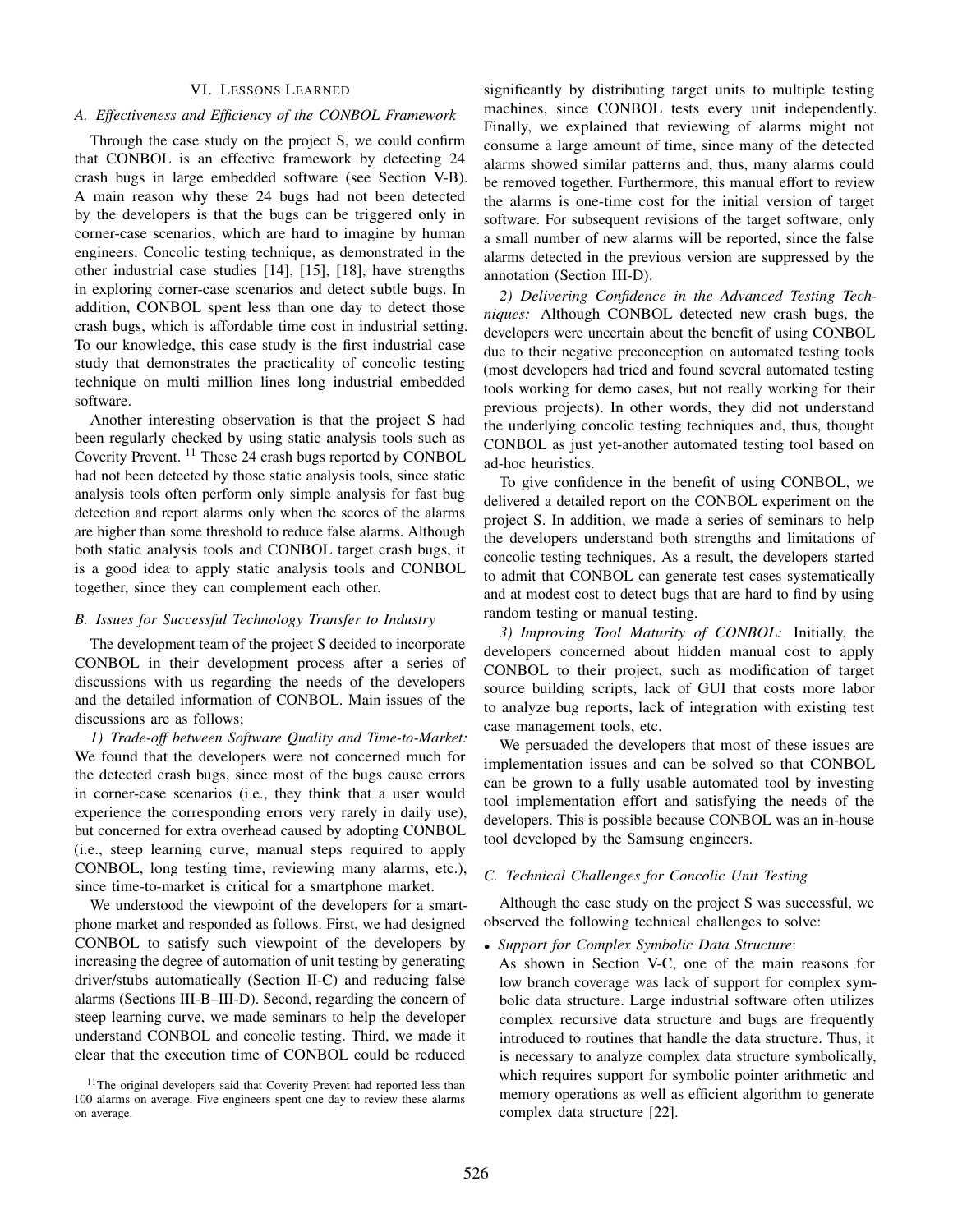#### VI. LESSONS LEARNED

#### *A. Effectiveness and Efficiency of the CONBOL Framework*

Through the case study on the project S, we could confirm that CONBOL is an effective framework by detecting 24 crash bugs in large embedded software (see Section V-B). A main reason why these 24 bugs had not been detected by the developers is that the bugs can be triggered only in corner-case scenarios, which are hard to imagine by human engineers. Concolic testing technique, as demonstrated in the other industrial case studies [14], [15], [18], have strengths in exploring corner-case scenarios and detect subtle bugs. In addition, CONBOL spent less than one day to detect those crash bugs, which is affordable time cost in industrial setting. To our knowledge, this case study is the first industrial case study that demonstrates the practicality of concolic testing technique on multi million lines long industrial embedded software.

Another interesting observation is that the project S had been regularly checked by using static analysis tools such as Coverity Prevent. <sup>11</sup> These 24 crash bugs reported by CONBOL had not been detected by those static analysis tools, since static analysis tools often perform only simple analysis for fast bug detection and report alarms only when the scores of the alarms are higher than some threshold to reduce false alarms. Although both static analysis tools and CONBOL target crash bugs, it is a good idea to apply static analysis tools and CONBOL together, since they can complement each other.

#### *B. Issues for Successful Technology Transfer to Industry*

The development team of the project S decided to incorporate CONBOL in their development process after a series of discussions with us regarding the needs of the developers and the detailed information of CONBOL. Main issues of the discussions are as follows;

*1) Trade-off between Software Quality and Time-to-Market:* We found that the developers were not concerned much for the detected crash bugs, since most of the bugs cause errors in corner-case scenarios (i.e., they think that a user would experience the corresponding errors very rarely in daily use), but concerned for extra overhead caused by adopting CONBOL (i.e., steep learning curve, manual steps required to apply CONBOL, long testing time, reviewing many alarms, etc.), since time-to-market is critical for a smartphone market.

We understood the viewpoint of the developers for a smartphone market and responded as follows. First, we had designed CONBOL to satisfy such viewpoint of the developers by increasing the degree of automation of unit testing by generating driver/stubs automatically (Section II-C) and reducing false alarms (Sections III-B–III-D). Second, regarding the concern of steep learning curve, we made seminars to help the developer understand CONBOL and concolic testing. Third, we made it clear that the execution time of CONBOL could be reduced

significantly by distributing target units to multiple testing machines, since CONBOL tests every unit independently. Finally, we explained that reviewing of alarms might not consume a large amount of time, since many of the detected alarms showed similar patterns and, thus, many alarms could be removed together. Furthermore, this manual effort to review the alarms is one-time cost for the initial version of target software. For subsequent revisions of the target software, only a small number of new alarms will be reported, since the false alarms detected in the previous version are suppressed by the annotation (Section III-D).

*2) Delivering Confidence in the Advanced Testing Techniques:* Although CONBOL detected new crash bugs, the developers were uncertain about the benefit of using CONBOL due to their negative preconception on automated testing tools (most developers had tried and found several automated testing tools working for demo cases, but not really working for their previous projects). In other words, they did not understand the underlying concolic testing techniques and, thus, thought CONBOL as just yet-another automated testing tool based on ad-hoc heuristics.

To give confidence in the benefit of using CONBOL, we delivered a detailed report on the CONBOL experiment on the project S. In addition, we made a series of seminars to help the developers understand both strengths and limitations of concolic testing techniques. As a result, the developers started to admit that CONBOL can generate test cases systematically and at modest cost to detect bugs that are hard to find by using random testing or manual testing.

*3) Improving Tool Maturity of CONBOL:* Initially, the developers concerned about hidden manual cost to apply CONBOL to their project, such as modification of target source building scripts, lack of GUI that costs more labor to analyze bug reports, lack of integration with existing test case management tools, etc.

We persuaded the developers that most of these issues are implementation issues and can be solved so that CONBOL can be grown to a fully usable automated tool by investing tool implementation effort and satisfying the needs of the developers. This is possible because CONBOL was an in-house tool developed by the Samsung engineers.

## *C. Technical Challenges for Concolic Unit Testing*

Although the case study on the project S was successful, we observed the following technical challenges to solve:

# • *Support for Complex Symbolic Data Structure*:

As shown in Section V-C, one of the main reasons for low branch coverage was lack of support for complex symbolic data structure. Large industrial software often utilizes complex recursive data structure and bugs are frequently introduced to routines that handle the data structure. Thus, it is necessary to analyze complex data structure symbolically, which requires support for symbolic pointer arithmetic and memory operations as well as efficient algorithm to generate complex data structure [22].

<sup>&</sup>lt;sup>11</sup>The original developers said that Coverity Prevent had reported less than 100 alarms on average. Five engineers spent one day to review these alarms on average.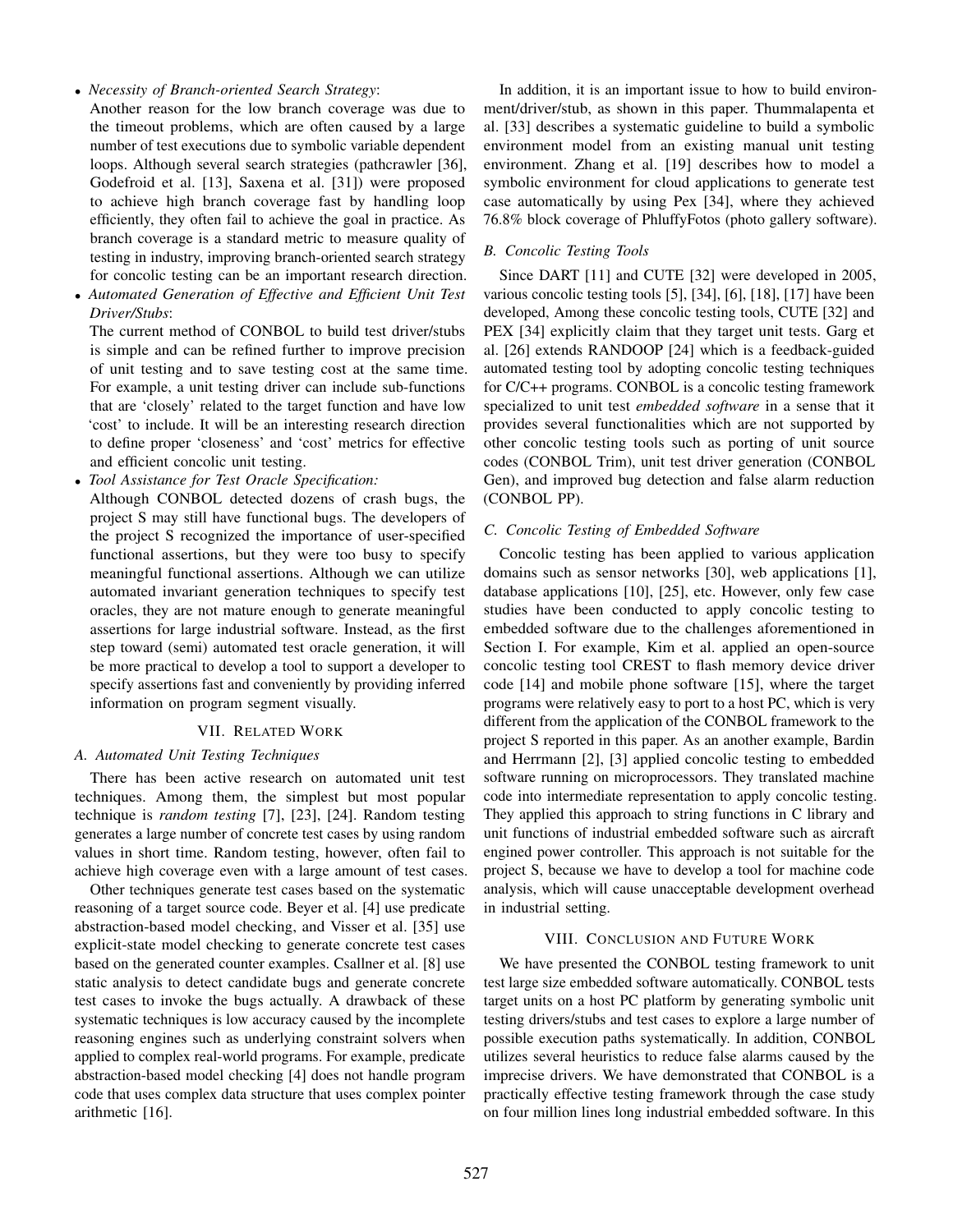#### • *Necessity of Branch-oriented Search Strategy*:

Another reason for the low branch coverage was due to the timeout problems, which are often caused by a large number of test executions due to symbolic variable dependent loops. Although several search strategies (pathcrawler [36], Godefroid et al. [13], Saxena et al. [31]) were proposed to achieve high branch coverage fast by handling loop efficiently, they often fail to achieve the goal in practice. As branch coverage is a standard metric to measure quality of testing in industry, improving branch-oriented search strategy for concolic testing can be an important research direction.

# • *Automated Generation of Effective and Efficient Unit Test Driver/Stubs*:

The current method of CONBOL to build test driver/stubs is simple and can be refined further to improve precision of unit testing and to save testing cost at the same time. For example, a unit testing driver can include sub-functions that are 'closely' related to the target function and have low 'cost' to include. It will be an interesting research direction to define proper 'closeness' and 'cost' metrics for effective and efficient concolic unit testing.

• *Tool Assistance for Test Oracle Specification:*

Although CONBOL detected dozens of crash bugs, the project S may still have functional bugs. The developers of the project S recognized the importance of user-specified functional assertions, but they were too busy to specify meaningful functional assertions. Although we can utilize automated invariant generation techniques to specify test oracles, they are not mature enough to generate meaningful assertions for large industrial software. Instead, as the first step toward (semi) automated test oracle generation, it will be more practical to develop a tool to support a developer to specify assertions fast and conveniently by providing inferred information on program segment visually.

#### VII. RELATED WORK

#### *A. Automated Unit Testing Techniques*

There has been active research on automated unit test techniques. Among them, the simplest but most popular technique is *random testing* [7], [23], [24]. Random testing generates a large number of concrete test cases by using random values in short time. Random testing, however, often fail to achieve high coverage even with a large amount of test cases.

Other techniques generate test cases based on the systematic reasoning of a target source code. Beyer et al. [4] use predicate abstraction-based model checking, and Visser et al. [35] use explicit-state model checking to generate concrete test cases based on the generated counter examples. Csallner et al. [8] use static analysis to detect candidate bugs and generate concrete test cases to invoke the bugs actually. A drawback of these systematic techniques is low accuracy caused by the incomplete reasoning engines such as underlying constraint solvers when applied to complex real-world programs. For example, predicate abstraction-based model checking [4] does not handle program code that uses complex data structure that uses complex pointer arithmetic [16].

In addition, it is an important issue to how to build environment/driver/stub, as shown in this paper. Thummalapenta et al. [33] describes a systematic guideline to build a symbolic environment model from an existing manual unit testing environment. Zhang et al. [19] describes how to model a symbolic environment for cloud applications to generate test case automatically by using Pex [34], where they achieved 76.8% block coverage of PhluffyFotos (photo gallery software).

## *B. Concolic Testing Tools*

Since DART [11] and CUTE [32] were developed in 2005, various concolic testing tools [5], [34], [6], [18], [17] have been developed, Among these concolic testing tools, CUTE [32] and PEX [34] explicitly claim that they target unit tests. Garg et al. [26] extends RANDOOP [24] which is a feedback-guided automated testing tool by adopting concolic testing techniques for C/C++ programs. CONBOL is a concolic testing framework specialized to unit test *embedded software* in a sense that it provides several functionalities which are not supported by other concolic testing tools such as porting of unit source codes (CONBOL Trim), unit test driver generation (CONBOL Gen), and improved bug detection and false alarm reduction (CONBOL PP).

## *C. Concolic Testing of Embedded Software*

Concolic testing has been applied to various application domains such as sensor networks [30], web applications [1], database applications [10], [25], etc. However, only few case studies have been conducted to apply concolic testing to embedded software due to the challenges aforementioned in Section I. For example, Kim et al. applied an open-source concolic testing tool CREST to flash memory device driver code [14] and mobile phone software [15], where the target programs were relatively easy to port to a host PC, which is very different from the application of the CONBOL framework to the project S reported in this paper. As an another example, Bardin and Herrmann [2], [3] applied concolic testing to embedded software running on microprocessors. They translated machine code into intermediate representation to apply concolic testing. They applied this approach to string functions in C library and unit functions of industrial embedded software such as aircraft engined power controller. This approach is not suitable for the project S, because we have to develop a tool for machine code analysis, which will cause unacceptable development overhead in industrial setting.

#### VIII. CONCLUSION AND FUTURE WORK

We have presented the CONBOL testing framework to unit test large size embedded software automatically. CONBOL tests target units on a host PC platform by generating symbolic unit testing drivers/stubs and test cases to explore a large number of possible execution paths systematically. In addition, CONBOL utilizes several heuristics to reduce false alarms caused by the imprecise drivers. We have demonstrated that CONBOL is a practically effective testing framework through the case study on four million lines long industrial embedded software. In this